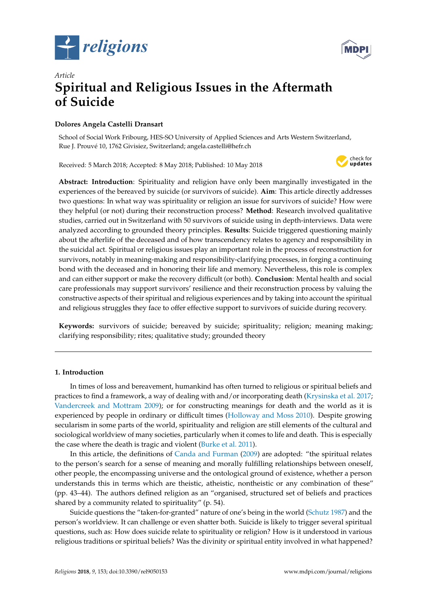



# *Article* **Spiritual and Religious Issues in the Aftermath of Suicide**

# **Dolores Angela Castelli Dransart**

School of Social Work Fribourg, HES-SO University of Applied Sciences and Arts Western Switzerland, Rue J. Prouvé 10, 1762 Givisiez, Switzerland; angela.castelli@hefr.ch

Received: 5 March 2018; Accepted: 8 May 2018; Published: 10 May 2018



**Abstract: Introduction**: Spirituality and religion have only been marginally investigated in the experiences of the bereaved by suicide (or survivors of suicide). **Aim**: This article directly addresses two questions: In what way was spirituality or religion an issue for survivors of suicide? How were they helpful (or not) during their reconstruction process? **Method**: Research involved qualitative studies, carried out in Switzerland with 50 survivors of suicide using in depth-interviews. Data were analyzed according to grounded theory principles. **Results**: Suicide triggered questioning mainly about the afterlife of the deceased and of how transcendency relates to agency and responsibility in the suicidal act. Spiritual or religious issues play an important role in the process of reconstruction for survivors, notably in meaning-making and responsibility-clarifying processes, in forging a continuing bond with the deceased and in honoring their life and memory. Nevertheless, this role is complex and can either support or make the recovery difficult (or both). **Conclusion**: Mental health and social care professionals may support survivors' resilience and their reconstruction process by valuing the constructive aspects of their spiritual and religious experiences and by taking into account the spiritual and religious struggles they face to offer effective support to survivors of suicide during recovery.

**Keywords:** survivors of suicide; bereaved by suicide; spirituality; religion; meaning making; clarifying responsibility; rites; qualitative study; grounded theory

## **1. Introduction**

In times of loss and bereavement, humankind has often turned to religious or spiritual beliefs and practices to find a framework, a way of dealing with and/or incorporating death [\(Krysinska et al.](#page-17-0) [2017;](#page-17-0) [Vandercreek and Mottram](#page-18-0) [2009\)](#page-18-0); or for constructing meanings for death and the world as it is experienced by people in ordinary or difficult times [\(Holloway and Moss](#page-17-1) [2010\)](#page-17-1). Despite growing secularism in some parts of the world, spirituality and religion are still elements of the cultural and sociological worldview of many societies, particularly when it comes to life and death. This is especially the case where the death is tragic and violent [\(Burke et al.](#page-17-2) [2011\)](#page-17-2).

In this article, the definitions of [Canda and Furman](#page-17-3) [\(2009\)](#page-17-3) are adopted: "the spiritual relates to the person's search for a sense of meaning and morally fulfilling relationships between oneself, other people, the encompassing universe and the ontological ground of existence, whether a person understands this in terms which are theistic, atheistic, nontheistic or any combination of these" (pp. 43–44). The authors defined religion as an "organised, structured set of beliefs and practices shared by a community related to spirituality" (p. 54).

Suicide questions the "taken-for-granted" nature of one's being in the world [\(Schutz](#page-18-1) [1987\)](#page-18-1) and the person's worldview. It can challenge or even shatter both. Suicide is likely to trigger several spiritual questions, such as: How does suicide relate to spirituality or religion? How is it understood in various religious traditions or spiritual beliefs? Was the divinity or spiritual entity involved in what happened?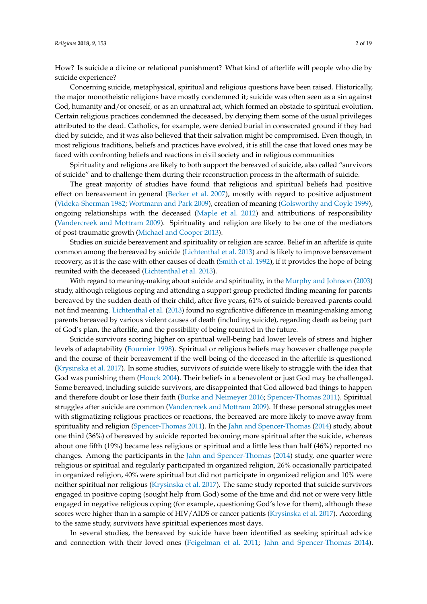How? Is suicide a divine or relational punishment? What kind of afterlife will people who die by suicide experience?

Concerning suicide, metaphysical, spiritual and religious questions have been raised. Historically, the major monotheistic religions have mostly condemned it; suicide was often seen as a sin against God, humanity and/or oneself, or as an unnatural act, which formed an obstacle to spiritual evolution. Certain religious practices condemned the deceased, by denying them some of the usual privileges attributed to the dead. Catholics, for example, were denied burial in consecrated ground if they had died by suicide, and it was also believed that their salvation might be compromised. Even though, in most religious traditions, beliefs and practices have evolved, it is still the case that loved ones may be faced with confronting beliefs and reactions in civil society and in religious communities

Spirituality and religions are likely to both support the bereaved of suicide, also called "survivors of suicide" and to challenge them during their reconstruction process in the aftermath of suicide.

The great majority of studies have found that religious and spiritual beliefs had positive effect on bereavement in general [\(Becker et al.](#page-16-0) [2007\)](#page-16-0), mostly with regard to positive adjustment [\(Videka-Sherman](#page-18-2) [1982;](#page-18-2) [Wortmann and Park](#page-18-3) [2009\)](#page-18-3), creation of meaning [\(Golsworthy and Coyle](#page-17-4) [1999\)](#page-17-4), ongoing relationships with the deceased [\(Maple et al.](#page-17-5) [2012\)](#page-17-5) and attributions of responsibility [\(Vandercreek and Mottram](#page-18-0) [2009\)](#page-18-0). Spirituality and religion are likely to be one of the mediators of post-traumatic growth [\(Michael and Cooper](#page-17-6) [2013\)](#page-17-6).

Studies on suicide bereavement and spirituality or religion are scarce. Belief in an afterlife is quite common among the bereaved by suicide [\(Lichtenthal et al.](#page-17-7) [2013\)](#page-17-7) and is likely to improve bereavement recovery, as it is the case with other causes of death [\(Smith et al.](#page-18-4) [1992\)](#page-18-4), if it provides the hope of being reunited with the deceased [\(Lichtenthal et al.](#page-17-7) [2013\)](#page-17-7).

With regard to meaning-making about suicide and spirituality, in the [Murphy and Johnson](#page-18-5) [\(2003\)](#page-18-5) study, although religious coping and attending a support group predicted finding meaning for parents bereaved by the sudden death of their child, after five years, 61% of suicide bereaved-parents could not find meaning. [Lichtenthal et al.](#page-17-7) [\(2013\)](#page-17-7) found no significative difference in meaning-making among parents bereaved by various violent causes of death (including suicide), regarding death as being part of God's plan, the afterlife, and the possibility of being reunited in the future.

Suicide survivors scoring higher on spiritual well-being had lower levels of stress and higher levels of adaptability [\(Fournier](#page-17-8) [1998\)](#page-17-8). Spiritual or religious beliefs may however challenge people and the course of their bereavement if the well-being of the deceased in the afterlife is questioned [\(Krysinska et al.](#page-17-0) [2017\)](#page-17-0). In some studies, survivors of suicide were likely to struggle with the idea that God was punishing them [\(Houck](#page-17-9) [2004\)](#page-17-9). Their beliefs in a benevolent or just God may be challenged. Some bereaved, including suicide survivors, are disappointed that God allowed bad things to happen and therefore doubt or lose their faith [\(Burke and Neimeyer](#page-16-1) [2016;](#page-16-1) [Spencer-Thomas](#page-18-6) [2011\)](#page-18-6). Spiritual struggles after suicide are common [\(Vandercreek and Mottram](#page-18-0) [2009\)](#page-18-0). If these personal struggles meet with stigmatizing religious practices or reactions, the bereaved are more likely to move away from spirituality and religion [\(Spencer-Thomas](#page-18-6) [2011\)](#page-18-6). In the [Jahn and Spencer-Thomas](#page-17-10) [\(2014\)](#page-17-10) study, about one third (36%) of bereaved by suicide reported becoming more spiritual after the suicide, whereas about one fifth (19%) became less religious or spiritual and a little less than half (46%) reported no changes. Among the participants in the [Jahn and Spencer-Thomas](#page-17-10) [\(2014\)](#page-17-10) study, one quarter were religious or spiritual and regularly participated in organized religion, 26% occasionally participated in organized religion, 40% were spiritual but did not participate in organized religion and 10% were neither spiritual nor religious [\(Krysinska et al.](#page-17-0) [2017\)](#page-17-0). The same study reported that suicide survivors engaged in positive coping (sought help from God) some of the time and did not or were very little engaged in negative religious coping (for example, questioning God's love for them), although these scores were higher than in a sample of HIV/AIDS or cancer patients [\(Krysinska et al.](#page-17-0) [2017\)](#page-17-0). According to the same study, survivors have spiritual experiences most days.

In several studies, the bereaved by suicide have been identified as seeking spiritual advice and connection with their loved ones [\(Feigelman et al.](#page-17-11) [2011;](#page-17-11) [Jahn and Spencer-Thomas](#page-17-10) [2014\)](#page-17-10).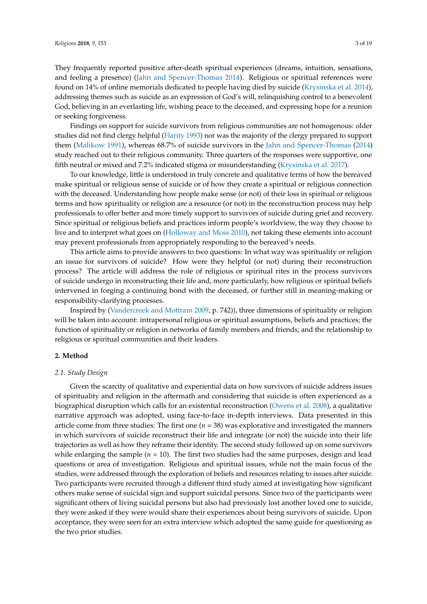They frequently reported positive after-death spiritual experiences (dreams, intuition, sensations, and feeling a presence) [\(Jahn and Spencer-Thomas](#page-17-10) [2014\)](#page-17-10). Religious or spiritual references were found on 14% of online memorials dedicated to people having died by suicide [\(Krysinska et al.](#page-17-12) [2014\)](#page-17-12), addressing themes such as suicide as an expression of God's will, relinquishing control to a benevolent God, believing in an everlasting life, wishing peace to the deceased, and expressing hope for a reunion or seeking forgiveness.

Findings on support for suicide survivors from religious communities are not homogenous: older studies did not find clergy helpful [\(Flarity](#page-17-13) [1993\)](#page-17-13) nor was the majority of the clergy prepared to support them [\(Malikow](#page-17-14) [1991\)](#page-17-14), whereas 68.7% of suicide survivors in the [Jahn and Spencer-Thomas](#page-17-10) [\(2014\)](#page-17-10) study reached out to their religious community. Three quarters of the responses were supportive, one fifth neutral or mixed and 7.2% indicated stigma or misunderstanding [\(Krysinska et al.](#page-17-0) [2017\)](#page-17-0).

To our knowledge, little is understood in truly concrete and qualitative terms of how the bereaved make spiritual or religious sense of suicide or of how they create a spiritual or religious connection with the deceased. Understanding how people make sense (or not) of their loss in spiritual or religious terms and how spirituality or religion are a resource (or not) in the reconstruction process may help professionals to offer better and more timely support to survivors of suicide during grief and recovery. Since spiritual or religious beliefs and practices inform people's worldview, the way they choose to live and to interpret what goes on [\(Holloway and Moss](#page-17-1) [2010\)](#page-17-1), not taking these elements into account may prevent professionals from appropriately responding to the bereaved's needs.

This article aims to provide answers to two questions: In what way was spirituality or religion an issue for survivors of suicide? How were they helpful (or not) during their reconstruction process? The article will address the role of religious or spiritual rites in the process survivors of suicide undergo in reconstructing their life and, more particularly, how religious or spiritual beliefs intervened in forging a continuing bond with the deceased, or further still in meaning-making or responsibility-clarifying processes.

Inspired by [\(Vandercreek and Mottram](#page-18-0) [2009,](#page-18-0) p. 742)), three dimensions of spirituality or religion will be taken into account: intrapersonal religious or spiritual assumptions, beliefs and practices; the function of spirituality or religion in networks of family members and friends; and the relationship to religious or spiritual communities and their leaders.

## **2. Method**

## *2.1. Study Design*

Given the scarcity of qualitative and experiential data on how survivors of suicide address issues of spirituality and religion in the aftermath and considering that suicide is often experienced as a biographical disruption which calls for an existential reconstruction [\(Owens et al.](#page-18-7) [2008\)](#page-18-7), a qualitative narrative approach was adopted, using face-to-face in-depth interviews. Data presented in this article come from three studies: The first one  $(n = 38)$  was explorative and investigated the manners in which survivors of suicide reconstruct their life and integrate (or not) the suicide into their life trajectories as well as how they reframe their identity. The second study followed up on some survivors while enlarging the sample  $(n = 10)$ . The first two studies had the same purposes, design and lead questions or area of investigation. Religious and spiritual issues, while not the main focus of the studies, were addressed through the exploration of beliefs and resources relating to issues after suicide. Two participants were recruited through a different third study aimed at investigating how significant others make sense of suicidal sign and support suicidal persons. Since two of the participants were significant others of living suicidal persons but also had previously lost another loved one to suicide, they were asked if they were would share their experiences about being survivors of suicide. Upon acceptance, they were seen for an extra interview which adopted the same guide for questioning as the two prior studies.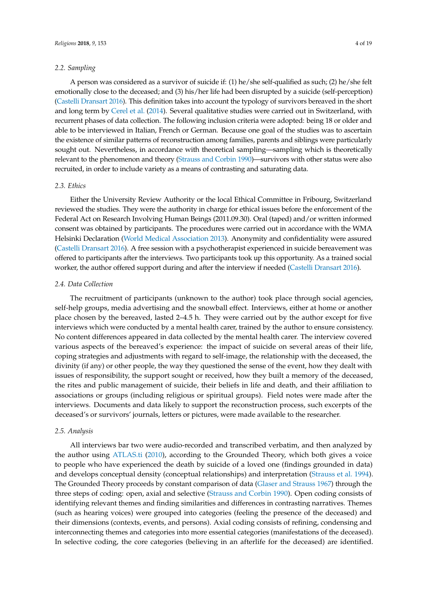## *2.2. Sampling*

A person was considered as a survivor of suicide if: (1) he/she self-qualified as such; (2) he/she felt emotionally close to the deceased; and (3) his/her life had been disrupted by a suicide (self-perception) [\(Castelli Dransart](#page-17-15) [2016\)](#page-17-15). This definition takes into account the typology of survivors bereaved in the short and long term by [Cerel et al.](#page-17-16) [\(2014\)](#page-17-16). Several qualitative studies were carried out in Switzerland, with recurrent phases of data collection. The following inclusion criteria were adopted: being 18 or older and able to be interviewed in Italian, French or German. Because one goal of the studies was to ascertain the existence of similar patterns of reconstruction among families, parents and siblings were particularly sought out. Nevertheless, in accordance with theoretical sampling—sampling which is theoretically relevant to the phenomenon and theory [\(Strauss and Corbin](#page-18-8) [1990\)](#page-18-8)—survivors with other status were also recruited, in order to include variety as a means of contrasting and saturating data.

## *2.3. Ethics*

Either the University Review Authority or the local Ethical Committee in Fribourg, Switzerland reviewed the studies. They were the authority in charge for ethical issues before the enforcement of the Federal Act on Research Involving Human Beings (2011.09.30). Oral (taped) and/or written informed consent was obtained by participants. The procedures were carried out in accordance with the WMA Helsinki Declaration [\(World Medical Association](#page-18-9) [2013\)](#page-18-9). Anonymity and confidentiality were assured [\(Castelli Dransart](#page-17-15) [2016\)](#page-17-15). A free session with a psychotherapist experienced in suicide bereavement was offered to participants after the interviews. Two participants took up this opportunity. As a trained social worker, the author offered support during and after the interview if needed [\(Castelli Dransart](#page-17-15) [2016\)](#page-17-15).

#### *2.4. Data Collection*

The recruitment of participants (unknown to the author) took place through social agencies, self-help groups, media advertising and the snowball effect. Interviews, either at home or another place chosen by the bereaved, lasted 2–4.5 h. They were carried out by the author except for five interviews which were conducted by a mental health carer, trained by the author to ensure consistency. No content differences appeared in data collected by the mental health carer. The interview covered various aspects of the bereaved's experience: the impact of suicide on several areas of their life, coping strategies and adjustments with regard to self-image, the relationship with the deceased, the divinity (if any) or other people, the way they questioned the sense of the event, how they dealt with issues of responsibility, the support sought or received, how they built a memory of the deceased, the rites and public management of suicide, their beliefs in life and death, and their affiliation to associations or groups (including religious or spiritual groups). Field notes were made after the interviews. Documents and data likely to support the reconstruction process, such excerpts of the deceased's or survivors' journals, letters or pictures, were made available to the researcher.

#### *2.5. Analysis*

All interviews bar two were audio-recorded and transcribed verbatim, and then analyzed by the author using [ATLAS.ti](#page-16-2) [\(2010\)](#page-16-2), according to the Grounded Theory, which both gives a voice to people who have experienced the death by suicide of a loved one (findings grounded in data) and develops conceptual density (conceptual relationships) and interpretation [\(Strauss et al.](#page-18-10) [1994\)](#page-18-10). The Grounded Theory proceeds by constant comparison of data [\(Glaser and Strauss](#page-17-17) [1967\)](#page-17-17) through the three steps of coding: open, axial and selective [\(Strauss and Corbin](#page-18-8) [1990\)](#page-18-8). Open coding consists of identifying relevant themes and finding similarities and differences in contrasting narratives. Themes (such as hearing voices) were grouped into categories (feeling the presence of the deceased) and their dimensions (contexts, events, and persons). Axial coding consists of refining, condensing and interconnecting themes and categories into more essential categories (manifestations of the deceased). In selective coding, the core categories (believing in an afterlife for the deceased) are identified.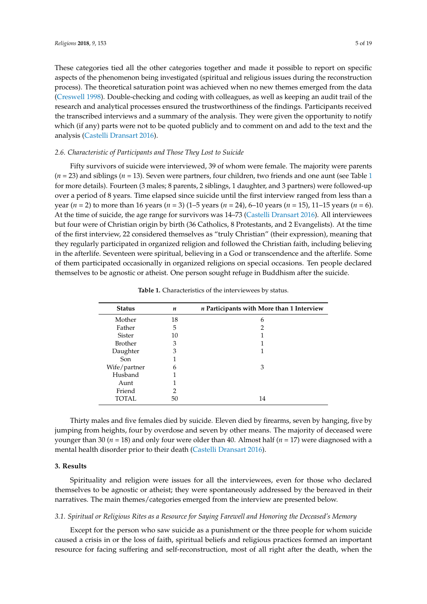These categories tied all the other categories together and made it possible to report on specific aspects of the phenomenon being investigated (spiritual and religious issues during the reconstruction process). The theoretical saturation point was achieved when no new themes emerged from the data [\(Creswell](#page-17-18) [1998\)](#page-17-18). Double-checking and coding with colleagues, as well as keeping an audit trail of the research and analytical processes ensured the trustworthiness of the findings. Participants received the transcribed interviews and a summary of the analysis. They were given the opportunity to notify which (if any) parts were not to be quoted publicly and to comment on and add to the text and the analysis [\(Castelli Dransart](#page-17-15) [2016\)](#page-17-15).

## *2.6. Characteristic of Participants and Those They Lost to Suicide*

Fifty survivors of suicide were interviewed, 39 of whom were female. The majority were parents (*n* = 23) and siblings (*n* = 13). Seven were partners, four children, two friends and one aunt (see Table [1](#page-4-0) for more details). Fourteen (3 males; 8 parents, 2 siblings, 1 daughter, and 3 partners) were followed-up over a period of 8 years. Time elapsed since suicide until the first interview ranged from less than a year (*n* = 2) to more than 16 years (*n* = 3) (1–5 years (*n* = 24), 6–10 years (*n* = 15), 11–15 years (*n* = 6). At the time of suicide, the age range for survivors was 14–73 [\(Castelli Dransart](#page-17-15) [2016\)](#page-17-15). All interviewees but four were of Christian origin by birth (36 Catholics, 8 Protestants, and 2 Evangelists). At the time of the first interview, 22 considered themselves as "truly Christian" (their expression), meaning that they regularly participated in organized religion and followed the Christian faith, including believing in the afterlife. Seventeen were spiritual, believing in a God or transcendence and the afterlife. Some of them participated occasionally in organized religions on special occasions. Ten people declared themselves to be agnostic or atheist. One person sought refuge in Buddhism after the suicide.

<span id="page-4-0"></span>

| <b>Status</b>  | $\boldsymbol{n}$ | n Participants with More than 1 Interview |
|----------------|------------------|-------------------------------------------|
| Mother         | 18               | 6                                         |
| Father         | 5                | $\overline{2}$                            |
| Sister         | 10               |                                           |
| <b>Brother</b> | 3                |                                           |
| Daughter       | 3                |                                           |
| Son            |                  |                                           |
| Wife/partner   | 6                | 3                                         |
| Husband        |                  |                                           |
| Aunt           |                  |                                           |
| Friend         | 2                |                                           |
| TOTAL.         | 50               | 14                                        |

**Table 1.** Characteristics of the interviewees by status.

Thirty males and five females died by suicide. Eleven died by firearms, seven by hanging, five by jumping from heights, four by overdose and seven by other means. The majority of deceased were younger than 30 (*n* = 18) and only four were older than 40. Almost half (*n* = 17) were diagnosed with a mental health disorder prior to their death [\(Castelli Dransart](#page-17-15) [2016\)](#page-17-15).

## **3. Results**

Spirituality and religion were issues for all the interviewees, even for those who declared themselves to be agnostic or atheist; they were spontaneously addressed by the bereaved in their narratives. The main themes/categories emerged from the interview are presented below.

#### *3.1. Spiritual or Religious Rites as a Resource for Saying Farewell and Honoring the Deceased's Memory*

Except for the person who saw suicide as a punishment or the three people for whom suicide caused a crisis in or the loss of faith, spiritual beliefs and religious practices formed an important resource for facing suffering and self-reconstruction, most of all right after the death, when the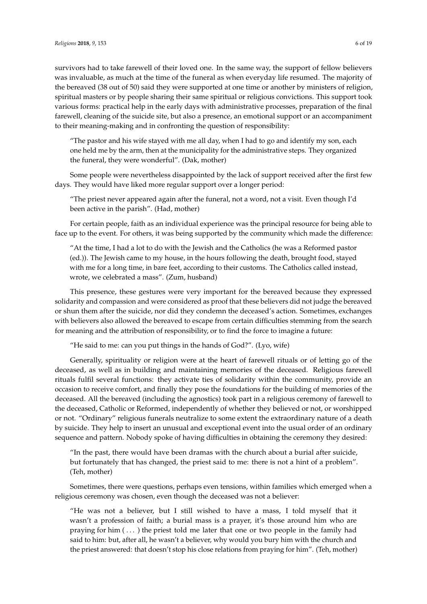survivors had to take farewell of their loved one. In the same way, the support of fellow believers was invaluable, as much at the time of the funeral as when everyday life resumed. The majority of the bereaved (38 out of 50) said they were supported at one time or another by ministers of religion, spiritual masters or by people sharing their same spiritual or religious convictions. This support took various forms: practical help in the early days with administrative processes, preparation of the final farewell, cleaning of the suicide site, but also a presence, an emotional support or an accompaniment to their meaning-making and in confronting the question of responsibility:

"The pastor and his wife stayed with me all day, when I had to go and identify my son, each one held me by the arm, then at the municipality for the administrative steps. They organized the funeral, they were wonderful". (Dak, mother)

Some people were nevertheless disappointed by the lack of support received after the first few days. They would have liked more regular support over a longer period:

"The priest never appeared again after the funeral, not a word, not a visit. Even though I'd been active in the parish". (Had, mother)

For certain people, faith as an individual experience was the principal resource for being able to face up to the event. For others, it was being supported by the community which made the difference:

"At the time, I had a lot to do with the Jewish and the Catholics (he was a Reformed pastor (ed.)). The Jewish came to my house, in the hours following the death, brought food, stayed with me for a long time, in bare feet, according to their customs. The Catholics called instead, wrote, we celebrated a mass". (Zum, husband)

This presence, these gestures were very important for the bereaved because they expressed solidarity and compassion and were considered as proof that these believers did not judge the bereaved or shun them after the suicide, nor did they condemn the deceased's action. Sometimes, exchanges with believers also allowed the bereaved to escape from certain difficulties stemming from the search for meaning and the attribution of responsibility, or to find the force to imagine a future:

"He said to me: can you put things in the hands of God?". (Lyo, wife)

Generally, spirituality or religion were at the heart of farewell rituals or of letting go of the deceased, as well as in building and maintaining memories of the deceased. Religious farewell rituals fulfil several functions: they activate ties of solidarity within the community, provide an occasion to receive comfort, and finally they pose the foundations for the building of memories of the deceased. All the bereaved (including the agnostics) took part in a religious ceremony of farewell to the deceased, Catholic or Reformed, independently of whether they believed or not, or worshipped or not. "Ordinary" religious funerals neutralize to some extent the extraordinary nature of a death by suicide. They help to insert an unusual and exceptional event into the usual order of an ordinary sequence and pattern. Nobody spoke of having difficulties in obtaining the ceremony they desired:

"In the past, there would have been dramas with the church about a burial after suicide, but fortunately that has changed, the priest said to me: there is not a hint of a problem". (Teh, mother)

Sometimes, there were questions, perhaps even tensions, within families which emerged when a religious ceremony was chosen, even though the deceased was not a believer:

"He was not a believer, but I still wished to have a mass, I told myself that it wasn't a profession of faith; a burial mass is a prayer, it's those around him who are praying for him  $(\ldots)$  the priest told me later that one or two people in the family had said to him: but, after all, he wasn't a believer, why would you bury him with the church and the priest answered: that doesn't stop his close relations from praying for him". (Teh, mother)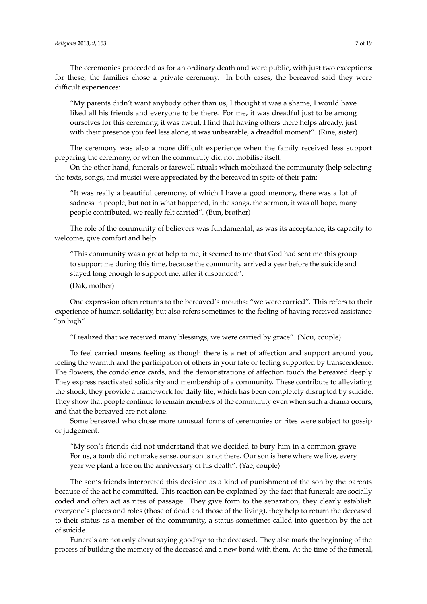The ceremonies proceeded as for an ordinary death and were public, with just two exceptions: for these, the families chose a private ceremony. In both cases, the bereaved said they were difficult experiences:

"My parents didn't want anybody other than us, I thought it was a shame, I would have liked all his friends and everyone to be there. For me, it was dreadful just to be among ourselves for this ceremony, it was awful, I find that having others there helps already, just with their presence you feel less alone, it was unbearable, a dreadful moment". (Rine, sister)

The ceremony was also a more difficult experience when the family received less support preparing the ceremony, or when the community did not mobilise itself:

On the other hand, funerals or farewell rituals which mobilized the community (help selecting the texts, songs, and music) were appreciated by the bereaved in spite of their pain:

"It was really a beautiful ceremony, of which I have a good memory, there was a lot of sadness in people, but not in what happened, in the songs, the sermon, it was all hope, many people contributed, we really felt carried". (Bun, brother)

The role of the community of believers was fundamental, as was its acceptance, its capacity to welcome, give comfort and help.

"This community was a great help to me, it seemed to me that God had sent me this group to support me during this time, because the community arrived a year before the suicide and stayed long enough to support me, after it disbanded".

(Dak, mother)

One expression often returns to the bereaved's mouths: "we were carried". This refers to their experience of human solidarity, but also refers sometimes to the feeling of having received assistance "on high".

"I realized that we received many blessings, we were carried by grace". (Nou, couple)

To feel carried means feeling as though there is a net of affection and support around you, feeling the warmth and the participation of others in your fate or feeling supported by transcendence. The flowers, the condolence cards, and the demonstrations of affection touch the bereaved deeply. They express reactivated solidarity and membership of a community. These contribute to alleviating the shock, they provide a framework for daily life, which has been completely disrupted by suicide. They show that people continue to remain members of the community even when such a drama occurs, and that the bereaved are not alone.

Some bereaved who chose more unusual forms of ceremonies or rites were subject to gossip or judgement:

"My son's friends did not understand that we decided to bury him in a common grave. For us, a tomb did not make sense, our son is not there. Our son is here where we live, every year we plant a tree on the anniversary of his death". (Yae, couple)

The son's friends interpreted this decision as a kind of punishment of the son by the parents because of the act he committed. This reaction can be explained by the fact that funerals are socially coded and often act as rites of passage. They give form to the separation, they clearly establish everyone's places and roles (those of dead and those of the living), they help to return the deceased to their status as a member of the community, a status sometimes called into question by the act of suicide.

Funerals are not only about saying goodbye to the deceased. They also mark the beginning of the process of building the memory of the deceased and a new bond with them. At the time of the funeral,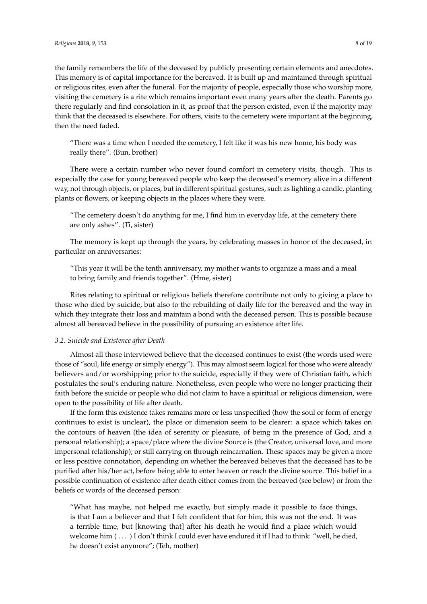the family remembers the life of the deceased by publicly presenting certain elements and anecdotes. This memory is of capital importance for the bereaved. It is built up and maintained through spiritual or religious rites, even after the funeral. For the majority of people, especially those who worship more, visiting the cemetery is a rite which remains important even many years after the death. Parents go there regularly and find consolation in it, as proof that the person existed, even if the majority may think that the deceased is elsewhere. For others, visits to the cemetery were important at the beginning, then the need faded.

"There was a time when I needed the cemetery, I felt like it was his new home, his body was really there". (Bun, brother)

There were a certain number who never found comfort in cemetery visits, though. This is especially the case for young bereaved people who keep the deceased's memory alive in a different way, not through objects, or places, but in different spiritual gestures, such as lighting a candle, planting plants or flowers, or keeping objects in the places where they were.

"The cemetery doesn't do anything for me, I find him in everyday life, at the cemetery there are only ashes". (Ti, sister)

The memory is kept up through the years, by celebrating masses in honor of the deceased, in particular on anniversaries:

"This year it will be the tenth anniversary, my mother wants to organize a mass and a meal to bring family and friends together". (Hme, sister)

Rites relating to spiritual or religious beliefs therefore contribute not only to giving a place to those who died by suicide, but also to the rebuilding of daily life for the bereaved and the way in which they integrate their loss and maintain a bond with the deceased person. This is possible because almost all bereaved believe in the possibility of pursuing an existence after life.

## *3.2. Suicide and Existence after Death*

Almost all those interviewed believe that the deceased continues to exist (the words used were those of "soul, life energy or simply energy"). This may almost seem logical for those who were already believers and/or worshipping prior to the suicide, especially if they were of Christian faith, which postulates the soul's enduring nature. Nonetheless, even people who were no longer practicing their faith before the suicide or people who did not claim to have a spiritual or religious dimension, were open to the possibility of life after death.

If the form this existence takes remains more or less unspecified (how the soul or form of energy continues to exist is unclear), the place or dimension seem to be clearer: a space which takes on the contours of heaven (the idea of serenity or pleasure, of being in the presence of God, and a personal relationship); a space/place where the divine Source is (the Creator, universal love, and more impersonal relationship); or still carrying on through reincarnation. These spaces may be given a more or less positive connotation, depending on whether the bereaved believes that the deceased has to be purified after his/her act, before being able to enter heaven or reach the divine source. This belief in a possible continuation of existence after death either comes from the bereaved (see below) or from the beliefs or words of the deceased person:

"What has maybe, not helped me exactly, but simply made it possible to face things, is that I am a believer and that I felt confident that for him, this was not the end. It was a terrible time, but [knowing that] after his death he would find a place which would welcome him  $(...)$  I don't think I could ever have endured it if I had to think: "well, he died, he doesn't exist anymore"; (Teh, mother)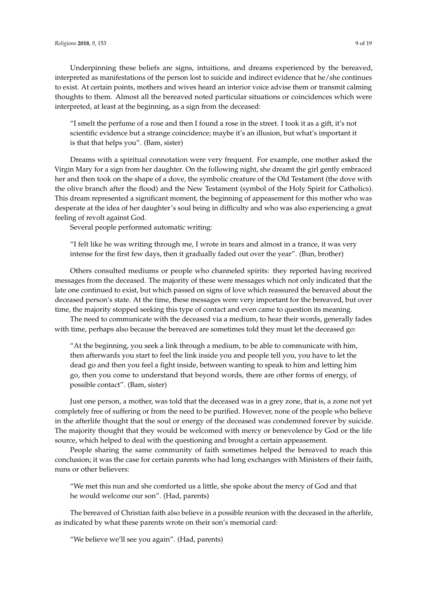Underpinning these beliefs are signs, intuitions, and dreams experienced by the bereaved, interpreted as manifestations of the person lost to suicide and indirect evidence that he/she continues to exist. At certain points, mothers and wives heard an interior voice advise them or transmit calming thoughts to them. Almost all the bereaved noted particular situations or coincidences which were interpreted, at least at the beginning, as a sign from the deceased:

"I smelt the perfume of a rose and then I found a rose in the street. I took it as a gift, it's not scientific evidence but a strange coincidence; maybe it's an illusion, but what's important it is that that helps you". (Bam, sister)

Dreams with a spiritual connotation were very frequent. For example, one mother asked the Virgin Mary for a sign from her daughter. On the following night, she dreamt the girl gently embraced her and then took on the shape of a dove, the symbolic creature of the Old Testament (the dove with the olive branch after the flood) and the New Testament (symbol of the Holy Spirit for Catholics). This dream represented a significant moment, the beginning of appeasement for this mother who was desperate at the idea of her daughter's soul being in difficulty and who was also experiencing a great feeling of revolt against God.

Several people performed automatic writing:

"I felt like he was writing through me, I wrote in tears and almost in a trance, it was very intense for the first few days, then it gradually faded out over the year". (Bun, brother)

Others consulted mediums or people who channeled spirits: they reported having received messages from the deceased. The majority of these were messages which not only indicated that the late one continued to exist, but which passed on signs of love which reassured the bereaved about the deceased person's state. At the time, these messages were very important for the bereaved, but over time, the majority stopped seeking this type of contact and even came to question its meaning.

The need to communicate with the deceased via a medium, to hear their words, generally fades with time, perhaps also because the bereaved are sometimes told they must let the deceased go:

"At the beginning, you seek a link through a medium, to be able to communicate with him, then afterwards you start to feel the link inside you and people tell you, you have to let the dead go and then you feel a fight inside, between wanting to speak to him and letting him go, then you come to understand that beyond words, there are other forms of energy, of possible contact". (Bam, sister)

Just one person, a mother, was told that the deceased was in a grey zone, that is, a zone not yet completely free of suffering or from the need to be purified. However, none of the people who believe in the afterlife thought that the soul or energy of the deceased was condemned forever by suicide. The majority thought that they would be welcomed with mercy or benevolence by God or the life source, which helped to deal with the questioning and brought a certain appeasement.

People sharing the same community of faith sometimes helped the bereaved to reach this conclusion; it was the case for certain parents who had long exchanges with Ministers of their faith, nuns or other believers:

"We met this nun and she comforted us a little, she spoke about the mercy of God and that he would welcome our son". (Had, parents)

The bereaved of Christian faith also believe in a possible reunion with the deceased in the afterlife, as indicated by what these parents wrote on their son's memorial card:

"We believe we'll see you again". (Had, parents)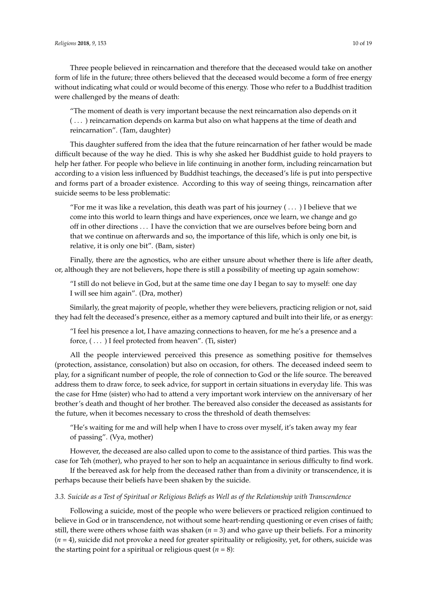Three people believed in reincarnation and therefore that the deceased would take on another form of life in the future; three others believed that the deceased would become a form of free energy without indicating what could or would become of this energy. Those who refer to a Buddhist tradition were challenged by the means of death:

"The moment of death is very important because the next reincarnation also depends on it ( . . . ) reincarnation depends on karma but also on what happens at the time of death and reincarnation". (Tam, daughter)

This daughter suffered from the idea that the future reincarnation of her father would be made difficult because of the way he died. This is why she asked her Buddhist guide to hold prayers to help her father. For people who believe in life continuing in another form, including reincarnation but according to a vision less influenced by Buddhist teachings, the deceased's life is put into perspective and forms part of a broader existence. According to this way of seeing things, reincarnation after suicide seems to be less problematic:

"For me it was like a revelation, this death was part of his journey  $(\dots)$  I believe that we come into this world to learn things and have experiences, once we learn, we change and go off in other directions . . . I have the conviction that we are ourselves before being born and that we continue on afterwards and so, the importance of this life, which is only one bit, is relative, it is only one bit". (Bam, sister)

Finally, there are the agnostics, who are either unsure about whether there is life after death, or, although they are not believers, hope there is still a possibility of meeting up again somehow:

"I still do not believe in God, but at the same time one day I began to say to myself: one day I will see him again". (Dra, mother)

Similarly, the great majority of people, whether they were believers, practicing religion or not, said they had felt the deceased's presence, either as a memory captured and built into their life, or as energy:

"I feel his presence a lot, I have amazing connections to heaven, for me he's a presence and a force, (...) I feel protected from heaven". (Ti, sister)

All the people interviewed perceived this presence as something positive for themselves (protection, assistance, consolation) but also on occasion, for others. The deceased indeed seem to play, for a significant number of people, the role of connection to God or the life source. The bereaved address them to draw force, to seek advice, for support in certain situations in everyday life. This was the case for Hme (sister) who had to attend a very important work interview on the anniversary of her brother's death and thought of her brother. The bereaved also consider the deceased as assistants for the future, when it becomes necessary to cross the threshold of death themselves:

"He's waiting for me and will help when I have to cross over myself, it's taken away my fear of passing". (Vya, mother)

However, the deceased are also called upon to come to the assistance of third parties. This was the case for Teh (mother), who prayed to her son to help an acquaintance in serious difficulty to find work.

If the bereaved ask for help from the deceased rather than from a divinity or transcendence, it is perhaps because their beliefs have been shaken by the suicide.

# *3.3. Suicide as a Test of Spiritual or Religious Beliefs as Well as of the Relationship with Transcendence*

Following a suicide, most of the people who were believers or practiced religion continued to believe in God or in transcendence, not without some heart-rending questioning or even crises of faith; still, there were others whose faith was shaken (*n* = 3) and who gave up their beliefs. For a minority (*n* = 4), suicide did not provoke a need for greater spirituality or religiosity, yet, for others, suicide was the starting point for a spiritual or religious quest  $(n = 8)$ :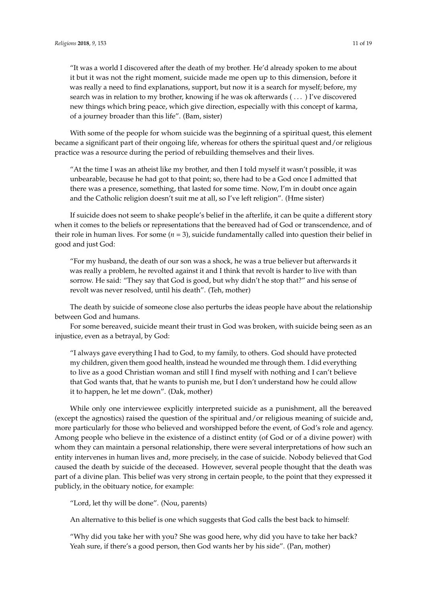"It was a world I discovered after the death of my brother. He'd already spoken to me about it but it was not the right moment, suicide made me open up to this dimension, before it was really a need to find explanations, support, but now it is a search for myself; before, my search was in relation to my brother, knowing if he was ok afterwards ( . . . ) I've discovered new things which bring peace, which give direction, especially with this concept of karma, of a journey broader than this life". (Bam, sister)

With some of the people for whom suicide was the beginning of a spiritual quest, this element became a significant part of their ongoing life, whereas for others the spiritual quest and/or religious practice was a resource during the period of rebuilding themselves and their lives.

"At the time I was an atheist like my brother, and then I told myself it wasn't possible, it was unbearable, because he had got to that point; so, there had to be a God once I admitted that there was a presence, something, that lasted for some time. Now, I'm in doubt once again and the Catholic religion doesn't suit me at all, so I've left religion". (Hme sister)

If suicide does not seem to shake people's belief in the afterlife, it can be quite a different story when it comes to the beliefs or representations that the bereaved had of God or transcendence, and of their role in human lives. For some  $(n = 3)$ , suicide fundamentally called into question their belief in good and just God:

"For my husband, the death of our son was a shock, he was a true believer but afterwards it was really a problem, he revolted against it and I think that revolt is harder to live with than sorrow. He said: "They say that God is good, but why didn't he stop that?" and his sense of revolt was never resolved, until his death". (Teh, mother)

The death by suicide of someone close also perturbs the ideas people have about the relationship between God and humans.

For some bereaved, suicide meant their trust in God was broken, with suicide being seen as an injustice, even as a betrayal, by God:

"I always gave everything I had to God, to my family, to others. God should have protected my children, given them good health, instead he wounded me through them. I did everything to live as a good Christian woman and still I find myself with nothing and I can't believe that God wants that, that he wants to punish me, but I don't understand how he could allow it to happen, he let me down". (Dak, mother)

While only one interviewee explicitly interpreted suicide as a punishment, all the bereaved (except the agnostics) raised the question of the spiritual and/or religious meaning of suicide and, more particularly for those who believed and worshipped before the event, of God's role and agency. Among people who believe in the existence of a distinct entity (of God or of a divine power) with whom they can maintain a personal relationship, there were several interpretations of how such an entity intervenes in human lives and, more precisely, in the case of suicide. Nobody believed that God caused the death by suicide of the deceased. However, several people thought that the death was part of a divine plan. This belief was very strong in certain people, to the point that they expressed it publicly, in the obituary notice, for example:

"Lord, let thy will be done". (Nou, parents)

An alternative to this belief is one which suggests that God calls the best back to himself:

"Why did you take her with you? She was good here, why did you have to take her back? Yeah sure, if there's a good person, then God wants her by his side". (Pan, mother)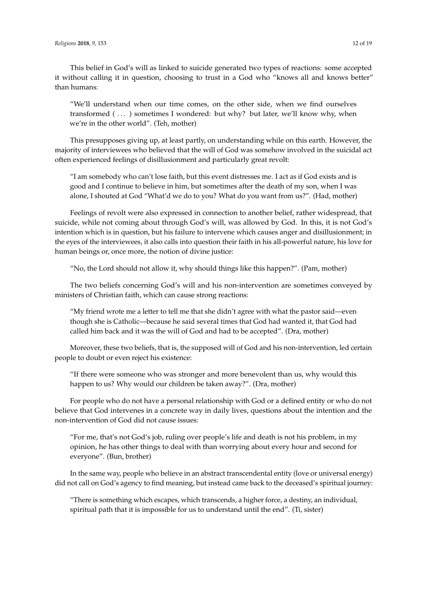This belief in God's will as linked to suicide generated two types of reactions: some accepted it without calling it in question, choosing to trust in a God who "knows all and knows better" than humans:

"We'll understand when our time comes, on the other side, when we find ourselves transformed  $( \ldots )$  sometimes I wondered: but why? but later, we'll know why, when we're in the other world". (Teh, mother)

This presupposes giving up, at least partly, on understanding while on this earth. However, the majority of interviewees who believed that the will of God was somehow involved in the suicidal act often experienced feelings of disillusionment and particularly great revolt:

"I am somebody who can't lose faith, but this event distresses me. I act as if God exists and is good and I continue to believe in him, but sometimes after the death of my son, when I was alone, I shouted at God "What'd we do to you? What do you want from us?". (Had, mother)

Feelings of revolt were also expressed in connection to another belief, rather widespread, that suicide, while not coming about through God's will, was allowed by God. In this, it is not God's intention which is in question, but his failure to intervene which causes anger and disillusionment; in the eyes of the interviewees, it also calls into question their faith in his all-powerful nature, his love for human beings or, once more, the notion of divine justice:

"No, the Lord should not allow it, why should things like this happen?". (Pam, mother)

The two beliefs concerning God's will and his non-intervention are sometimes conveyed by ministers of Christian faith, which can cause strong reactions:

"My friend wrote me a letter to tell me that she didn't agree with what the pastor said—even though she is Catholic—because he said several times that God had wanted it, that God had called him back and it was the will of God and had to be accepted". (Dra, mother)

Moreover, these two beliefs, that is, the supposed will of God and his non-intervention, led certain people to doubt or even reject his existence:

"If there were someone who was stronger and more benevolent than us, why would this happen to us? Why would our children be taken away?". (Dra, mother)

For people who do not have a personal relationship with God or a defined entity or who do not believe that God intervenes in a concrete way in daily lives, questions about the intention and the non-intervention of God did not cause issues:

"For me, that's not God's job, ruling over people's life and death is not his problem, in my opinion, he has other things to deal with than worrying about every hour and second for everyone". (Bun, brother)

In the same way, people who believe in an abstract transcendental entity (love or universal energy) did not call on God's agency to find meaning, but instead came back to the deceased's spiritual journey:

"There is something which escapes, which transcends, a higher force, a destiny, an individual, spiritual path that it is impossible for us to understand until the end". (Ti, sister)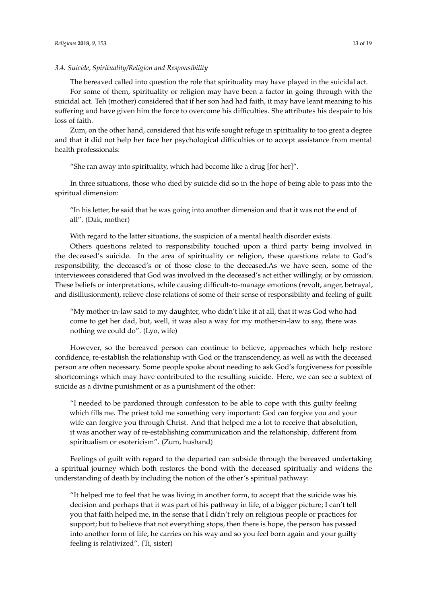#### *3.4. Suicide, Spirituality/Religion and Responsibility*

The bereaved called into question the role that spirituality may have played in the suicidal act.

For some of them, spirituality or religion may have been a factor in going through with the suicidal act. Teh (mother) considered that if her son had had faith, it may have leant meaning to his suffering and have given him the force to overcome his difficulties. She attributes his despair to his loss of faith.

Zum, on the other hand, considered that his wife sought refuge in spirituality to too great a degree and that it did not help her face her psychological difficulties or to accept assistance from mental health professionals:

"She ran away into spirituality, which had become like a drug [for her]".

In three situations, those who died by suicide did so in the hope of being able to pass into the spiritual dimension:

"In his letter, he said that he was going into another dimension and that it was not the end of all". (Dak, mother)

With regard to the latter situations, the suspicion of a mental health disorder exists.

Others questions related to responsibility touched upon a third party being involved in the deceased's suicide. In the area of spirituality or religion, these questions relate to God's responsibility, the deceased's or of those close to the deceased.As we have seen, some of the interviewees considered that God was involved in the deceased's act either willingly, or by omission. These beliefs or interpretations, while causing difficult-to-manage emotions (revolt, anger, betrayal, and disillusionment), relieve close relations of some of their sense of responsibility and feeling of guilt:

"My mother-in-law said to my daughter, who didn't like it at all, that it was God who had come to get her dad, but, well, it was also a way for my mother-in-law to say, there was nothing we could do". (Lyo, wife)

However, so the bereaved person can continue to believe, approaches which help restore confidence, re-establish the relationship with God or the transcendency, as well as with the deceased person are often necessary. Some people spoke about needing to ask God's forgiveness for possible shortcomings which may have contributed to the resulting suicide. Here, we can see a subtext of suicide as a divine punishment or as a punishment of the other:

"I needed to be pardoned through confession to be able to cope with this guilty feeling which fills me. The priest told me something very important: God can forgive you and your wife can forgive you through Christ. And that helped me a lot to receive that absolution, it was another way of re-establishing communication and the relationship, different from spiritualism or esotericism". (Zum, husband)

Feelings of guilt with regard to the departed can subside through the bereaved undertaking a spiritual journey which both restores the bond with the deceased spiritually and widens the understanding of death by including the notion of the other's spiritual pathway:

"It helped me to feel that he was living in another form, to accept that the suicide was his decision and perhaps that it was part of his pathway in life, of a bigger picture; I can't tell you that faith helped me, in the sense that I didn't rely on religious people or practices for support; but to believe that not everything stops, then there is hope, the person has passed into another form of life, he carries on his way and so you feel born again and your guilty feeling is relativized". (Ti, sister)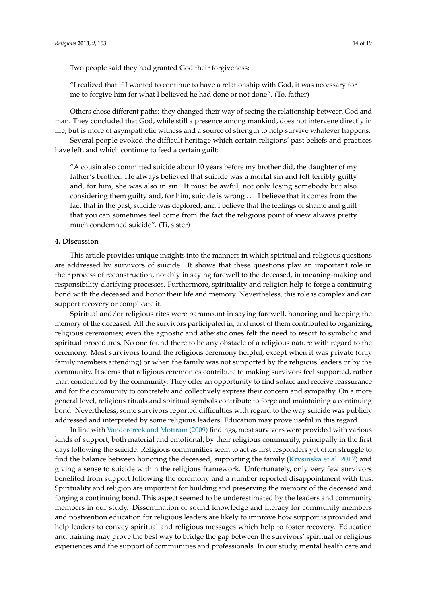Two people said they had granted God their forgiveness:

"I realized that if I wanted to continue to have a relationship with God, it was necessary for me to forgive him for what I believed he had done or not done". (To, father)

Others chose different paths: they changed their way of seeing the relationship between God and man. They concluded that God, while still a presence among mankind, does not intervene directly in life, but is more of asympathetic witness and a source of strength to help survive whatever happens.

Several people evoked the difficult heritage which certain religions' past beliefs and practices have left, and which continue to feed a certain guilt:

"A cousin also committed suicide about 10 years before my brother did, the daughter of my father's brother. He always believed that suicide was a mortal sin and felt terribly guilty and, for him, she was also in sin. It must be awful, not only losing somebody but also considering them guilty and, for him, suicide is wrong . . . I believe that it comes from the fact that in the past, suicide was deplored, and I believe that the feelings of shame and guilt that you can sometimes feel come from the fact the religious point of view always pretty much condemned suicide". (Ti, sister)

## **4. Discussion**

This article provides unique insights into the manners in which spiritual and religious questions are addressed by survivors of suicide. It shows that these questions play an important role in their process of reconstruction, notably in saying farewell to the deceased, in meaning-making and responsibility-clarifying processes. Furthermore, spirituality and religion help to forge a continuing bond with the deceased and honor their life and memory. Nevertheless, this role is complex and can support recovery or complicate it.

Spiritual and/or religious rites were paramount in saying farewell, honoring and keeping the memory of the deceased. All the survivors participated in, and most of them contributed to organizing, religious ceremonies; even the agnostic and atheistic ones felt the need to resort to symbolic and spiritual procedures. No one found there to be any obstacle of a religious nature with regard to the ceremony. Most survivors found the religious ceremony helpful, except when it was private (only family members attending) or when the family was not supported by the religious leaders or by the community. It seems that religious ceremonies contribute to making survivors feel supported, rather than condemned by the community. They offer an opportunity to find solace and receive reassurance and for the community to concretely and collectively express their concern and sympathy. On a more general level, religious rituals and spiritual symbols contribute to forge and maintaining a continuing bond. Nevertheless, some survivors reported difficulties with regard to the way suicide was publicly addressed and interpreted by some religious leaders. Education may prove useful in this regard.

In line with [Vandercreek and Mottram](#page-18-0) [\(2009\)](#page-18-0) findings, most survivors were provided with various kinds of support, both material and emotional, by their religious community, principally in the first days following the suicide. Religious communities seem to act as first responders yet often struggle to find the balance between honoring the deceased, supporting the family [\(Krysinska et al.](#page-17-0) [2017\)](#page-17-0) and giving a sense to suicide within the religious framework. Unfortunately, only very few survivors benefited from support following the ceremony and a number reported disappointment with this. Spirituality and religion are important for building and preserving the memory of the deceased and forging a continuing bond. This aspect seemed to be underestimated by the leaders and community members in our study. Dissemination of sound knowledge and literacy for community members and postvention education for religious leaders are likely to improve how support is provided and help leaders to convey spiritual and religious messages which help to foster recovery. Education and training may prove the best way to bridge the gap between the survivors' spiritual or religious experiences and the support of communities and professionals. In our study, mental health care and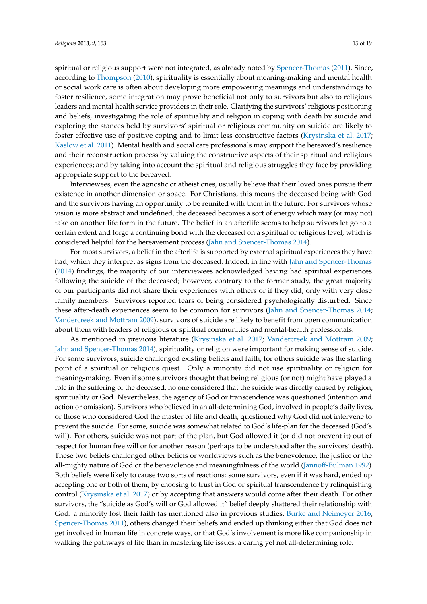spiritual or religious support were not integrated, as already noted by [Spencer-Thomas](#page-18-6) [\(2011\)](#page-18-6). Since, according to [Thompson](#page-18-11) [\(2010\)](#page-18-11), spirituality is essentially about meaning-making and mental health or social work care is often about developing more empowering meanings and understandings to foster resilience, some integration may prove beneficial not only to survivors but also to religious leaders and mental health service providers in their role. Clarifying the survivors' religious positioning and beliefs, investigating the role of spirituality and religion in coping with death by suicide and exploring the stances held by survivors' spiritual or religious community on suicide are likely to foster effective use of positive coping and to limit less constructive factors [\(Krysinska et al.](#page-17-0) [2017;](#page-17-0) [Kaslow et al.](#page-17-19) [2011\)](#page-17-19). Mental health and social care professionals may support the bereaved's resilience and their reconstruction process by valuing the constructive aspects of their spiritual and religious experiences; and by taking into account the spiritual and religious struggles they face by providing appropriate support to the bereaved.

Interviewees, even the agnostic or atheist ones, usually believe that their loved ones pursue their existence in another dimension or space. For Christians, this means the deceased being with God and the survivors having an opportunity to be reunited with them in the future. For survivors whose vision is more abstract and undefined, the deceased becomes a sort of energy which may (or may not) take on another life form in the future. The belief in an afterlife seems to help survivors let go to a certain extent and forge a continuing bond with the deceased on a spiritual or religious level, which is considered helpful for the bereavement process [\(Jahn and Spencer-Thomas](#page-17-10) [2014\)](#page-17-10).

For most survivors, a belief in the afterlife is supported by external spiritual experiences they have had, which they interpret as signs from the deceased. Indeed, in line with [Jahn and Spencer-Thomas](#page-17-10) [\(2014\)](#page-17-10) findings, the majority of our interviewees acknowledged having had spiritual experiences following the suicide of the deceased; however, contrary to the former study, the great majority of our participants did not share their experiences with others or if they did, only with very close family members. Survivors reported fears of being considered psychologically disturbed. Since these after-death experiences seem to be common for survivors [\(Jahn and Spencer-Thomas](#page-17-10) [2014;](#page-17-10) [Vandercreek and Mottram](#page-18-0) [2009\)](#page-18-0), survivors of suicide are likely to benefit from open communication about them with leaders of religious or spiritual communities and mental-health professionals.

As mentioned in previous literature [\(Krysinska et al.](#page-17-0) [2017;](#page-17-0) [Vandercreek and Mottram](#page-18-0) [2009;](#page-18-0) [Jahn and Spencer-Thomas](#page-17-10) [2014\)](#page-17-10), spirituality or religion were important for making sense of suicide. For some survivors, suicide challenged existing beliefs and faith, for others suicide was the starting point of a spiritual or religious quest. Only a minority did not use spirituality or religion for meaning-making. Even if some survivors thought that being religious (or not) might have played a role in the suffering of the deceased, no one considered that the suicide was directly caused by religion, spirituality or God. Nevertheless, the agency of God or transcendence was questioned (intention and action or omission). Survivors who believed in an all-determining God, involved in people's daily lives, or those who considered God the master of life and death, questioned why God did not intervene to prevent the suicide. For some, suicide was somewhat related to God's life-plan for the deceased (God's will). For others, suicide was not part of the plan, but God allowed it (or did not prevent it) out of respect for human free will or for another reason (perhaps to be understood after the survivors' death). These two beliefs challenged other beliefs or worldviews such as the benevolence, the justice or the all-mighty nature of God or the benevolence and meaningfulness of the world [\(Jannoff-Bulman](#page-17-20) [1992\)](#page-17-20). Both beliefs were likely to cause two sorts of reactions: some survivors, even if it was hard, ended up accepting one or both of them, by choosing to trust in God or spiritual transcendence by relinquishing control [\(Krysinska et al.](#page-17-0) [2017\)](#page-17-0) or by accepting that answers would come after their death. For other survivors, the "suicide as God's will or God allowed it" belief deeply shattered their relationship with God: a minority lost their faith (as mentioned also in previous studies, [Burke and Neimeyer](#page-16-1) [2016;](#page-16-1) [Spencer-Thomas](#page-18-6) [2011\)](#page-18-6), others changed their beliefs and ended up thinking either that God does not get involved in human life in concrete ways, or that God's involvement is more like companionship in walking the pathways of life than in mastering life issues, a caring yet not all-determining role.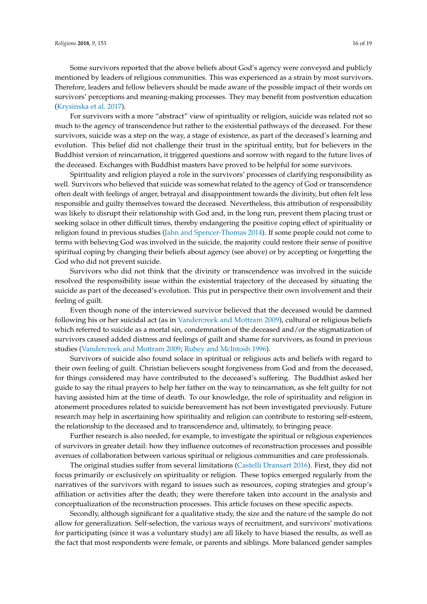Some survivors reported that the above beliefs about God's agency were conveyed and publicly mentioned by leaders of religious communities. This was experienced as a strain by most survivors. Therefore, leaders and fellow believers should be made aware of the possible impact of their words on survivors' perceptions and meaning-making processes. They may benefit from postvention education [\(Krysinska et al.](#page-17-0) [2017\)](#page-17-0).

For survivors with a more "abstract" view of spirituality or religion, suicide was related not so much to the agency of transcendence but rather to the existential pathways of the deceased. For these survivors, suicide was a step on the way, a stage of existence, as part of the deceased's learning and evolution. This belief did not challenge their trust in the spiritual entity, but for believers in the Buddhist version of reincarnation, it triggered questions and sorrow with regard to the future lives of the deceased. Exchanges with Buddhist masters have proved to be helpful for some survivors.

Spirituality and religion played a role in the survivors' processes of clarifying responsibility as well. Survivors who believed that suicide was somewhat related to the agency of God or transcendence often dealt with feelings of anger, betrayal and disappointment towards the divinity, but often felt less responsible and guilty themselves toward the deceased. Nevertheless, this attribution of responsibility was likely to disrupt their relationship with God and, in the long run, prevent them placing trust or seeking solace in other difficult times, thereby endangering the positive coping effect of spirituality or religion found in previous studies [\(Jahn and Spencer-Thomas](#page-17-10) [2014\)](#page-17-10). If some people could not come to terms with believing God was involved in the suicide, the majority could restore their sense of positive spiritual coping by changing their beliefs about agency (see above) or by accepting or forgetting the God who did not prevent suicide.

Survivors who did not think that the divinity or transcendence was involved in the suicide resolved the responsibility issue within the existential trajectory of the deceased by situating the suicide as part of the deceased's evolution. This put in perspective their own involvement and their feeling of guilt.

Even though none of the interviewed survivor believed that the deceased would be damned following his or her suicidal act (as in [Vandercreek and Mottram](#page-18-0) [2009\)](#page-18-0), cultural or religious beliefs which referred to suicide as a mortal sin, condemnation of the deceased and/or the stigmatization of survivors caused added distress and feelings of guilt and shame for survivors, as found in previous studies [\(Vandercreek and Mottram](#page-18-0) [2009;](#page-18-0) [Rubey and McIntosh](#page-18-12) [1996\)](#page-18-12).

Survivors of suicide also found solace in spiritual or religious acts and beliefs with regard to their own feeling of guilt. Christian believers sought forgiveness from God and from the deceased, for things considered may have contributed to the deceased's suffering. The Buddhist asked her guide to say the ritual prayers to help her father on the way to reincarnation, as she felt guilty for not having assisted him at the time of death. To our knowledge, the role of spirituality and religion in atonement procedures related to suicide bereavement has not been investigated previously. Future research may help in ascertaining how spirituality and religion can contribute to restoring self-esteem, the relationship to the deceased and to transcendence and, ultimately, to bringing peace.

Further research is also needed, for example, to investigate the spiritual or religious experiences of survivors in greater detail: how they influence outcomes of reconstruction processes and possible avenues of collaboration between various spiritual or religious communities and care professionals.

The original studies suffer from several limitations [\(Castelli Dransart](#page-17-15) [2016\)](#page-17-15). First, they did not focus primarily or exclusively on spirituality or religion. These topics emerged regularly from the narratives of the survivors with regard to issues such as resources, coping strategies and group's affiliation or activities after the death; they were therefore taken into account in the analysis and conceptualization of the reconstruction processes. This article focuses on these specific aspects.

Secondly, although significant for a qualitative study, the size and the nature of the sample do not allow for generalization. Self-selection, the various ways of recruitment, and survivors' motivations for participating (since it was a voluntary study) are all likely to have biased the results, as well as the fact that most respondents were female, or parents and siblings. More balanced gender samples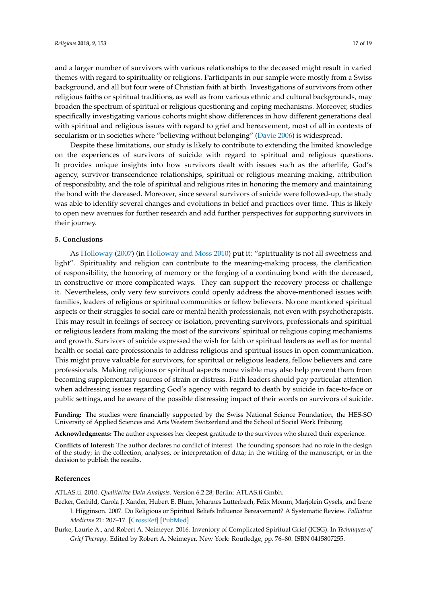and a larger number of survivors with various relationships to the deceased might result in varied themes with regard to spirituality or religions. Participants in our sample were mostly from a Swiss background, and all but four were of Christian faith at birth. Investigations of survivors from other religious faiths or spiritual traditions, as well as from various ethnic and cultural backgrounds, may broaden the spectrum of spiritual or religious questioning and coping mechanisms. Moreover, studies specifically investigating various cohorts might show differences in how different generations deal with spiritual and religious issues with regard to grief and bereavement, most of all in contexts of secularism or in societies where "believing without belonging" [\(Davie](#page-17-21) [2006\)](#page-17-21) is widespread.

Despite these limitations, our study is likely to contribute to extending the limited knowledge on the experiences of survivors of suicide with regard to spiritual and religious questions. It provides unique insights into how survivors dealt with issues such as the afterlife, God's agency, survivor-transcendence relationships, spiritual or religious meaning-making, attribution of responsibility, and the role of spiritual and religious rites in honoring the memory and maintaining the bond with the deceased. Moreover, since several survivors of suicide were followed-up, the study was able to identify several changes and evolutions in belief and practices over time. This is likely to open new avenues for further research and add further perspectives for supporting survivors in their journey.

## **5. Conclusions**

As [Holloway](#page-17-22) [\(2007\)](#page-17-22) (in [Holloway and Moss](#page-17-1) [2010\)](#page-17-1) put it: "spirituality is not all sweetness and light". Spirituality and religion can contribute to the meaning-making process, the clarification of responsibility, the honoring of memory or the forging of a continuing bond with the deceased, in constructive or more complicated ways. They can support the recovery process or challenge it. Nevertheless, only very few survivors could openly address the above-mentioned issues with families, leaders of religious or spiritual communities or fellow believers. No one mentioned spiritual aspects or their struggles to social care or mental health professionals, not even with psychotherapists. This may result in feelings of secrecy or isolation, preventing survivors, professionals and spiritual or religious leaders from making the most of the survivors' spiritual or religious coping mechanisms and growth. Survivors of suicide expressed the wish for faith or spiritual leaders as well as for mental health or social care professionals to address religious and spiritual issues in open communication. This might prove valuable for survivors, for spiritual or religious leaders, fellow believers and care professionals. Making religious or spiritual aspects more visible may also help prevent them from becoming supplementary sources of strain or distress. Faith leaders should pay particular attention when addressing issues regarding God's agency with regard to death by suicide in face-to-face or public settings, and be aware of the possible distressing impact of their words on survivors of suicide.

**Funding:** The studies were financially supported by the Swiss National Science Foundation, the HES-SO University of Applied Sciences and Arts Western Switzerland and the School of Social Work Fribourg.

**Acknowledgments:** The author expresses her deepest gratitude to the survivors who shared their experience.

**Conflicts of Interest:** The author declares no conflict of interest. The founding sponsors had no role in the design of the study; in the collection, analyses, or interpretation of data; in the writing of the manuscript, or in the decision to publish the results.

## **References**

<span id="page-16-2"></span>ATLAS.ti. 2010. *Qualitative Data Analysis*. Version 6.2.28; Berlin: ATLAS.ti Gmbh.

- <span id="page-16-0"></span>Becker, Gerhild, Carola J. Xander, Hubert E. Blum, Johannes Lutterbach, Felix Momm, Marjolein Gysels, and Irene J. Higginson. 2007. Do Religious or Spiritual Beliefs Influence Bereavement? A Systematic Review. *Palliative Medicine* 21: 207–17. [\[CrossRef\]](http://dx.doi.org/10.1177/0269216307077327) [\[PubMed\]](http://www.ncbi.nlm.nih.gov/pubmed/17641074)
- <span id="page-16-1"></span>Burke, Laurie A., and Robert A. Neimeyer. 2016. Inventory of Complicated Spiritual Grief (ICSG). In *Techniques of Grief Therapy*. Edited by Robert A. Neimeyer. New York: Routledge, pp. 76–80. ISBN 0415807255.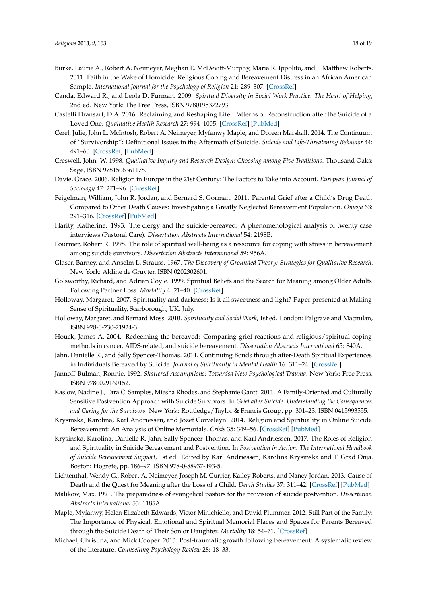- <span id="page-17-2"></span>Burke, Laurie A., Robert A. Neimeyer, Meghan E. McDevitt-Murphy, Maria R. Ippolito, and J. Matthew Roberts. 2011. Faith in the Wake of Homicide: Religious Coping and Bereavement Distress in an African American Sample. *International Journal for the Psychology of Religion* 21: 289–307. [\[CrossRef\]](http://dx.doi.org/10.1080/10508619.2011.607416)
- <span id="page-17-3"></span>Canda, Edward R., and Leola D. Furman. 2009. *Spiritual Diversity in Social Work Practice: The Heart of Helping*, 2nd ed. New York: The Free Press, ISBN 9780195372793.
- <span id="page-17-15"></span>Castelli Dransart, D.A. 2016. Reclaiming and Reshaping Life: Patterns of Reconstruction after the Suicide of a Loved One. *Qualitative Health Research* 27: 994–1005. [\[CrossRef\]](http://dx.doi.org/10.1177/1049732316637590) [\[PubMed\]](http://www.ncbi.nlm.nih.gov/pubmed/27055497)
- <span id="page-17-16"></span>Cerel, Julie, John L. McIntosh, Robert A. Neimeyer, Myfanwy Maple, and Doreen Marshall. 2014. The Continuum of "Survivorship": Definitional Issues in the Aftermath of Suicide. *Suicide and Life-Threatening Behavior* 44: 491–60. [\[CrossRef\]](http://dx.doi.org/10.1111/sltb.12093) [\[PubMed\]](http://www.ncbi.nlm.nih.gov/pubmed/24702241)
- <span id="page-17-18"></span>Creswell, John. W. 1998. *Qualitative Inquiry and Research Design: Choosing among Five Traditions*. Thousand Oaks: Sage, ISBN 9781506361178.
- <span id="page-17-21"></span>Davie, Grace. 2006. Religion in Europe in the 21st Century: The Factors to Take into Account. *European Journal of Sociology* 47: 271–96. [\[CrossRef\]](http://dx.doi.org/10.1017/S0003975606000099)
- <span id="page-17-11"></span>Feigelman, William, John R. Jordan, and Bernard S. Gorman. 2011. Parental Grief after a Child's Drug Death Compared to Other Death Causes: Investigating a Greatly Neglected Bereavement Population. *Omega* 63: 291–316. [\[CrossRef\]](http://dx.doi.org/10.2190/OM.63.4.a) [\[PubMed\]](http://www.ncbi.nlm.nih.gov/pubmed/22010370)
- <span id="page-17-13"></span>Flarity, Katherine. 1993. The clergy and the suicide-bereaved: A phenomenological analysis of twenty case interviews (Pastoral Care). *Dissertation Abstracts International* 54: 2198B.
- <span id="page-17-8"></span>Fournier, Robert R. 1998. The role of spiritual well-being as a ressource for coping with stress in bereavement among suicide survivors. *Dissertation Abstracts International* 59: 956A.
- <span id="page-17-17"></span>Glaser, Barney, and Anselm L. Strauss. 1967. *The Discovery of Grounded Theory: Strategies for Qualitative Research*. New York: Aldine de Gruyter, ISBN 0202302601.
- <span id="page-17-4"></span>Golsworthy, Richard, and Adrian Coyle. 1999. Spiritual Beliefs and the Search for Meaning among Older Adults Following Partner Loss. *Mortality* 4: 21–40. [\[CrossRef\]](http://dx.doi.org/10.1080/713685964)
- <span id="page-17-22"></span>Holloway, Margaret. 2007. Spirituality and darkness: Is it all sweetness and light? Paper presented at Making Sense of Spirituality, Scarborough, UK, July.
- <span id="page-17-1"></span>Holloway, Margaret, and Bernard Moss. 2010. *Spirituality and Social Work*, 1st ed. London: Palgrave and Macmilan, ISBN 978-0-230-21924-3.
- <span id="page-17-9"></span>Houck, James A. 2004. Redeeming the bereaved: Comparing grief reactions and religious/spiritual coping methods in cancer, AIDS-related, and suicide bereavement. *Dissertation Abstracts International* 65: 840A.
- <span id="page-17-10"></span>Jahn, Danielle R., and Sally Spencer-Thomas. 2014. Continuing Bonds through after-Death Spiritual Experiences in Individuals Bereaved by Suicide. *Journal of Spirituality in Mental Health* 16: 311–24. [\[CrossRef\]](http://dx.doi.org/10.1080/19349637.2015.957612)
- <span id="page-17-20"></span>Jannoff-Bulman, Ronnie. 1992. *Shattered Assumptions: Towardsa New Psychological Trauma*. New York: Free Press, ISBN 9780029160152.
- <span id="page-17-19"></span>Kaslow, Nadine J., Tara C. Samples, Miesha Rhodes, and Stephanie Gantt. 2011. A Family-Oriented and Culturally Sensitive Postvention Approach with Suicide Survivors. In *Grief after Suicide: Understanding the Consequences and Caring for the Survivors*. New York: Routledge/Taylor & Francis Group, pp. 301–23. ISBN 0415993555.
- <span id="page-17-12"></span>Krysinska, Karolina, Karl Andriessen, and Jozef Corveleyn. 2014. Religion and Spirituality in Online Suicide Bereavement: An Analysis of Online Memorials. *Crisis* 35: 349–56. [\[CrossRef\]](http://dx.doi.org/10.1027/0227-5910/a000270) [\[PubMed\]](http://www.ncbi.nlm.nih.gov/pubmed/25189112)
- <span id="page-17-0"></span>Krysinska, Karolina, Danielle R. Jahn, Sally Spencer-Thomas, and Karl Andriessen. 2017. The Roles of Religion and Spirituality in Suicide Bereavement and Postvention. In *Postvention in Action: The International Handbook of Suicide Bereavement Support*, 1st ed. Edited by Karl Andriessen, Karolina Krysinska and T. Grad Onja. Boston: Hogrefe, pp. 186–97. ISBN 978-0-88937-493-5.
- <span id="page-17-7"></span>Lichtenthal, Wendy G., Robert A. Neimeyer, Joseph M. Currier, Kailey Roberts, and Nancy Jordan. 2013. Cause of Death and the Quest for Meaning after the Loss of a Child. *Death Studies* 37: 311–42. [\[CrossRef\]](http://dx.doi.org/10.1080/07481187.2012.673533) [\[PubMed\]](http://www.ncbi.nlm.nih.gov/pubmed/24520890)
- <span id="page-17-14"></span>Malikow, Max. 1991. The preparedness of evangelical pastors for the provision of suicide postvention. *Dissertation Abstracts International* 53: 1185A.
- <span id="page-17-5"></span>Maple, Myfanwy, Helen Elizabeth Edwards, Victor Minichiello, and David Plummer. 2012. Still Part of the Family: The Importance of Physical, Emotional and Spiritual Memorial Places and Spaces for Parents Bereaved through the Suicide Death of Their Son or Daughter. *Mortality* 18: 54–71. [\[CrossRef\]](http://dx.doi.org/10.1080/13576275.2012.755158)
- <span id="page-17-6"></span>Michael, Christina, and Mick Cooper. 2013. Post-traumatic growth following bereavement: A systematic review of the literature. *Counselling Psychology Review* 28: 18–33.